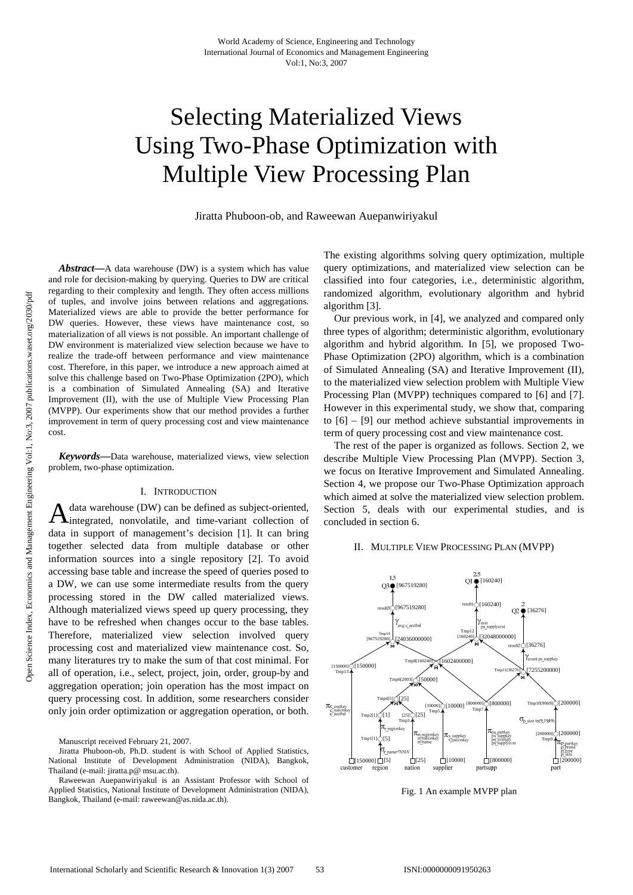# Selecting Materialized Views Using Two-Phase Optimization with Multiple View Processing Plan

Jiratta Phuboon-ob, and Raweewan Auepanwiriyakul

*Abstract***—**A data warehouse (DW) is a system which has value and role for decision-making by querying. Queries to DW are critical regarding to their complexity and length. They often access millions of tuples, and involve joins between relations and aggregations. Materialized views are able to provide the better performance for DW queries. However, these views have maintenance cost, so materialization of all views is not possible. An important challenge of DW environment is materialized view selection because we have to realize the trade-off between performance and view maintenance cost. Therefore, in this paper, we introduce a new approach aimed at solve this challenge based on Two-Phase Optimization (2PO), which is a combination of Simulated Annealing (SA) and Iterative Improvement (II), with the use of Multiple View Processing Plan (MVPP). Our experiments show that our method provides a further improvement in term of query processing cost and view maintenance cost.

*Keywords***—**Data warehouse, materialized views, view selection problem, two-phase optimization.

## I. INTRODUCTION

data warehouse (DW) can be defined as subject-oriented,  $\mathbf{\Lambda}$  data warehouse (DW) can be defined as subject-oriented, integrated, nonvolatile, and time-variant collection of data in support of management's decision [1]. It can bring together selected data from multiple database or other information sources into a single repository [2]. To avoid accessing base table and increase the speed of queries posed to a DW, we can use some intermediate results from the query processing stored in the DW called materialized views. Although materialized views speed up query processing, they have to be refreshed when changes occur to the base tables. Therefore, materialized view selection involved query processing cost and materialized view maintenance cost. So, many literatures try to make the sum of that cost minimal. For all of operation, i.e., select, project, join, order, group-by and aggregation operation; join operation has the most impact on query processing cost. In addition, some researchers consider only join order optimization or aggregation operation, or both.

Manuscript received February 21, 2007.

Jiratta Phuboon-ob, Ph.D. student is with School of Applied Statistics, National Institute of Development Administration (NIDA), Bangkok, Thailand (e-mail: jiratta.p@ msu.ac.th).

Raweewan Auepanwiriyakul is an Assistant Professor with School of Applied Statistics, National Institute of Development Administration (NIDA), Bangkok, Thailand (e-mail: raweewan@as.nida.ac.th).

The existing algorithms solving query optimization, multiple query optimizations, and materialized view selection can be classified into four categories, i.e., deterministic algorithm, randomized algorithm, evolutionary algorithm and hybrid algorithm [3].

Our previous work, in [4], we analyzed and compared only three types of algorithm; deterministic algorithm, evolutionary algorithm and hybrid algorithm. In [5], we proposed Two-Phase Optimization (2PO) algorithm, which is a combination of Simulated Annealing (SA) and Iterative Improvement (II), to the materialized view selection problem with Multiple View Processing Plan (MVPP) techniques compared to [6] and [7]. However in this experimental study, we show that, comparing to [6] – [9] our method achieve substantial improvements in term of query processing cost and view maintenance cost.

The rest of the paper is organized as follows. Section 2, we describe Multiple View Processing Plan (MVPP). Section 3, we focus on Iterative Improvement and Simulated Annealing. Section 4, we propose our Two-Phase Optimization approach which aimed at solve the materialized view selection problem. Section 5, deals with our experimental studies, and is concluded in section 6.

## II. MULTIPLE VIEW PROCESSING PLAN (MVPP)



Fig. 1 An example MVPP plan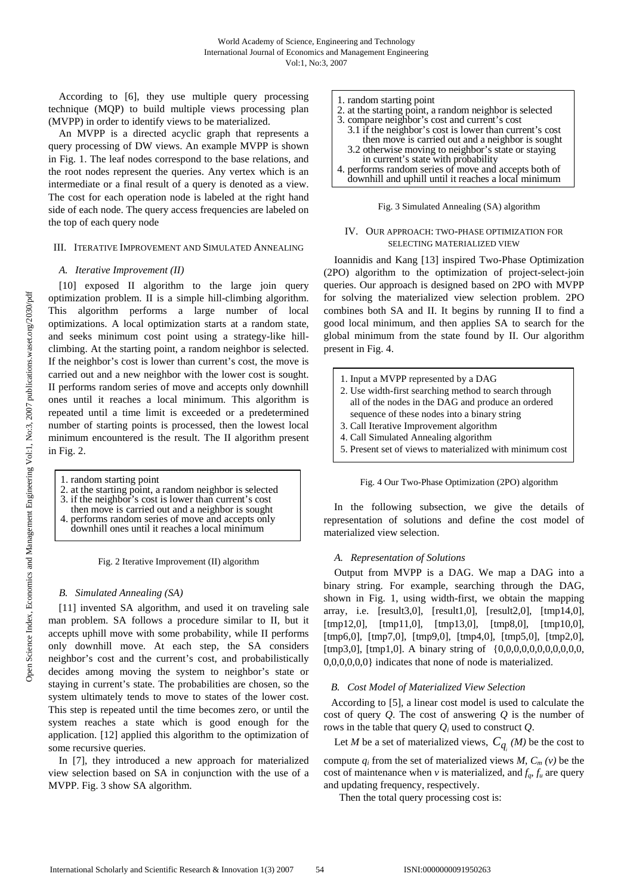According to [6], they use multiple query processing technique (MQP) to build multiple views processing plan (MVPP) in order to identify views to be materialized.

An MVPP is a directed acyclic graph that represents a query processing of DW views. An example MVPP is shown in Fig. 1. The leaf nodes correspond to the base relations, and the root nodes represent the queries. Any vertex which is an intermediate or a final result of a query is denoted as a view. The cost for each operation node is labeled at the right hand side of each node. The query access frequencies are labeled on the top of each query node

## III. ITERATIVE IMPROVEMENT AND SIMULATED ANNEALING

## *A. Iterative Improvement (II)*

[10] exposed II algorithm to the large join query optimization problem. II is a simple hill-climbing algorithm. This algorithm performs a large number of local optimizations. A local optimization starts at a random state, and seeks minimum cost point using a strategy-like hillclimbing. At the starting point, a random neighbor is selected. If the neighbor's cost is lower than current's cost, the move is carried out and a new neighbor with the lower cost is sought. II performs random series of move and accepts only downhill ones until it reaches a local minimum. This algorithm is repeated until a time limit is exceeded or a predetermined number of starting points is processed, then the lowest local minimum encountered is the result. The II algorithm present in Fig. 2.

| then move is carried out and a neighbor is sought<br>4. performs random series of move and accepts only<br>downhill ones until it reaches a local minimum |
|-----------------------------------------------------------------------------------------------------------------------------------------------------------|
|-----------------------------------------------------------------------------------------------------------------------------------------------------------|

Fig. 2 Iterative Improvement (II) algorithm

## *B. Simulated Annealing (SA)*

[11] invented SA algorithm, and used it on traveling sale man problem. SA follows a procedure similar to II, but it accepts uphill move with some probability, while II performs only downhill move. At each step, the SA considers neighbor's cost and the current's cost, and probabilistically decides among moving the system to neighbor's state or staying in current's state. The probabilities are chosen, so the system ultimately tends to move to states of the lower cost. This step is repeated until the time becomes zero, or until the system reaches a state which is good enough for the application. [12] applied this algorithm to the optimization of some recursive queries.

In [7], they introduced a new approach for materialized view selection based on SA in conjunction with the use of a MVPP. Fig. 3 show SA algorithm.

| 1. random starting point                                |
|---------------------------------------------------------|
| 2. at the starting point, a random neighbor is selected |
| 3. compare neighbor's cost and current's cost           |
| 3.1 if the neighbor's cost is lower than current's cost |
| then move is carried out and a neighbor is sought       |
| 3.2 otherwise moving to neighbor's state or staying     |
| in current's state with probability                     |
| 4. performs random series of move and accepts both of   |
| downhill and uphill until it reaches a local minimum    |

### Fig. 3 Simulated Annealing (SA) algorithm

## IV. OUR APPROACH: TWO-PHASE OPTIMIZATION FOR SELECTING MATERIALIZED VIEW

Ioannidis and Kang [13] inspired Two-Phase Optimization (2PO) algorithm to the optimization of project-select-join queries. Our approach is designed based on 2PO with MVPP for solving the materialized view selection problem. 2PO combines both SA and II. It begins by running II to find a good local minimum, and then applies SA to search for the global minimum from the state found by II. Our algorithm present in Fig. 4.

| 1. Input a MVPP represented by a DAG                      |
|-----------------------------------------------------------|
| 2. Use width-first searching method to search through     |
| all of the nodes in the DAG and produce an ordered        |
| sequence of these nodes into a binary string              |
| 3. Call Iterative Improvement algorithm                   |
| 4. Call Simulated Annealing algorithm                     |
| 5. Present set of views to materialized with minimum cost |
|                                                           |

Fig. 4 Our Two-Phase Optimization (2PO) algorithm

In the following subsection, we give the details of representation of solutions and define the cost model of materialized view selection.

## *A. Representation of Solutions*

Output from MVPP is a DAG. We map a DAG into a binary string. For example, searching through the DAG, shown in Fig. 1, using width-first, we obtain the mapping array, i.e. [result3,0], [result1,0], [result2,0], [tmp14,0], [tmp12,0], [tmp11,0], [tmp13,0], [tmp8,0], [tmp10,0], [tmp6,0], [tmp7,0], [tmp9,0], [tmp4,0], [tmp5,0], [tmp2,0], [tmp3,0], [tmp1,0]. A binary string of {0,0,0,0,0,0,0,0,0,0,0, 0,0,0,0,0,0} indicates that none of node is materialized.

## *B. Cost Model of Materialized View Selection*

According to [5], a linear cost model is used to calculate the cost of query *Q*. The cost of answering *Q* is the number of rows in the table that query *Qi* used to construct *Q*.

Let *M* be a set of materialized views,  $C_{q_i}(M)$  be the cost to

compute  $q_i$  from the set of materialized views *M*,  $C_m(v)$  be the cost of maintenance when *v* is materialized, and  $f_q$ ,  $f_u$  are query and updating frequency, respectively.

Then the total query processing cost is: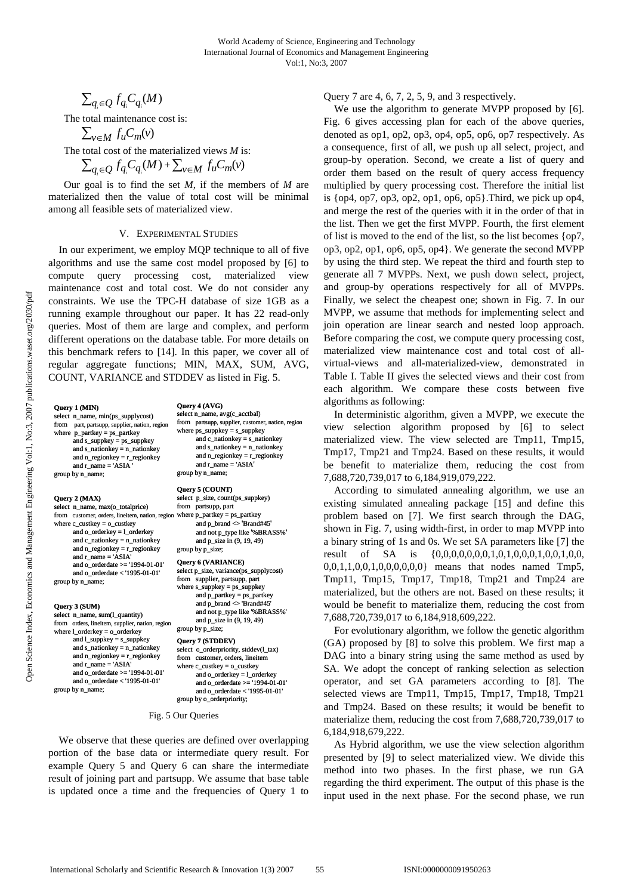## $\sum_{q_i \in Q} f_q C_{q_i}(M)$

The total maintenance cost is:

$$
\sum_{v \in M} f_u C_m(v)
$$

The total cost of the materialized views *M* is:

$$
\sum_{q_i \in Q} f_{q_i} C_{q_i}(M) + \sum_{v \in M} f_u C_m(v)
$$

Our goal is to find the set *M*, if the members of *M* are materialized then the value of total cost will be minimal among all feasible sets of materialized view.

## V. EXPERIMENTAL STUDIES

In our experiment, we employ MQP technique to all of five algorithms and use the same cost model proposed by [6] to compute query processing cost, materialized view maintenance cost and total cost. We do not consider any constraints. We use the TPC-H database of size 1GB as a running example throughout our paper. It has 22 read-only queries. Most of them are large and complex, and perform different operations on the database table. For more details on this benchmark refers to [14]. In this paper, we cover all of regular aggregate functions; MIN, MAX, SUM, AVG, COUNT, VARIANCE and STDDEV as listed in Fig. 5.

**Query 1 (MIN)** select n\_name, min(ps\_supplycost) from part, partsupp, supplier, nation, region where  $p$ \_partkey = ps\_partkey and s\_suppkey = ps\_suppkey and s\_nationkey = n\_nationkey and n\_regionkey = r\_regionkey and  $r$ <sub>name</sub> = 'ASIA group by n\_name;

#### **Query 2 (MAX)**

select n\_name, max(o\_totalprice) from customer, orders, lineitem, nation, region where c\_custkey = o\_custkey and o\_orderkey =  $\frac{1}{2}$  orderkey and  $c$ \_nationkey =  $n$ \_nationkey and n\_regionkey = r\_regionkey and r\_name = 'ASIA' and  $\overline{0}$  orderdate  $\ge$  = '1994-01-01' and o\_orderdate < '1995-01-01' group by n\_name;

#### **Query 3 (SUM)**

select n\_name, sum(l\_quantity) from orders, lineitem, supplier, nation, region where l\_orderkey = o\_orderkey and l\_suppkey = s\_suppkey and s\_nationkey = n\_nationkey and n\_regionkey = r\_regionkey and r\_name = 'ASIA' and o\_orderdate >= '1994-01-01' and o\_orderdate < '1995-01-01' group by n\_name;

## **Query 4 (AVG)**

| select n_name, avg(c_acctbal)                     |
|---------------------------------------------------|
| from partsupp, supplier, customer, nation, region |
| where $ps\_suppkey = s\_suppkey$                  |
| and c_nationkey $=$ s_nationkey                   |
| and s_nationkey $=$ n_nationkey                   |
| and $n$ regionkey = $r$ regionkey                 |
| and $r$ name $=$ 'ASIA'                           |
| group by n_name;                                  |
|                                                   |

#### **Query 5 (COUNT)**

| Query 5 (COUNT)                        |
|----------------------------------------|
| select p_size, count(ps_suppkey)       |
| from partsupp, part                    |
| where $p$ _partkey = $ps$ _partkey     |
| and p_brand <> 'Brand#45'              |
| and not p_type like '%BRASS%'          |
| and p_size in (9, 19, 49)              |
| group by p_size;                       |
| Query 6 (VARIANCE)                     |
| select p_size, variance(ps_supplycost) |
| from supplier, partsupp, part          |
| where $s$ _suppkey = $ps$ _suppkey     |
| and $p$ _partkey = $ps$ _partkey       |
| and p_brand <> 'Brand#45'              |
| and not p_type like '%BRASS%'          |
| and p_size in (9, 19, 49)              |
| group by p_size;                       |
| Query 7 (STDDEV)                       |
| select o_orderpriority, stddev(l_tax)  |

from customer, orders, lineitem where c\_custkey =  $\alpha$ \_custkey and o\_orderkey = l\_orderkey and o\_orderdate >= '1994-01-01' and o\_orderdate < '1995-01-01' group by o\_orderpriority;

## Fig. 5 Our Queries

We observe that these queries are defined over overlapping portion of the base data or intermediate query result. For example Query 5 and Query 6 can share the intermediate result of joining part and partsupp. We assume that base table is updated once a time and the frequencies of Query 1 to

## Query 7 are 4, 6, 7, 2, 5, 9, and 3 respectively.

We use the algorithm to generate MVPP proposed by [6]. Fig. 6 gives accessing plan for each of the above queries, denoted as op1, op2, op3, op4, op5, op6, op7 respectively. As a consequence, first of all, we push up all select, project, and group-by operation. Second, we create a list of query and order them based on the result of query access frequency multiplied by query processing cost. Therefore the initial list is  $\{op4, op7, op3, op2, op1, op6, op5\}$ . Third, we pick up op4, and merge the rest of the queries with it in the order of that in the list. Then we get the first MVPP. Fourth, the first element of list is moved to the end of the list, so the list becomes {op7, op3, op2, op1, op6, op5, op4}. We generate the second MVPP by using the third step. We repeat the third and fourth step to generate all 7 MVPPs. Next, we push down select, project, and group-by operations respectively for all of MVPPs. Finally, we select the cheapest one; shown in Fig. 7. In our MVPP, we assume that methods for implementing select and join operation are linear search and nested loop approach. Before comparing the cost, we compute query processing cost, materialized view maintenance cost and total cost of allvirtual-views and all-materialized-view, demonstrated in Table I. Table II gives the selected views and their cost from each algorithm. We compare these costs between five algorithms as following:

In deterministic algorithm, given a MVPP, we execute the view selection algorithm proposed by [6] to select materialized view. The view selected are Tmp11, Tmp15, Tmp17, Tmp21 and Tmp24. Based on these results, it would be benefit to materialize them, reducing the cost from 7,688,720,739,017 to 6,184,919,079,222.

According to simulated annealing algorithm, we use an existing simulated annealing package [15] and define this problem based on [7]. We first search through the DAG, shown in Fig. 7, using width-first, in order to map MVPP into a binary string of 1s and 0s. We set SA parameters like [7] the result of SA is  $\{0,0,0,0,0,0,0,1,0,1,0,0,0,1,0,0,1,0,0,1,0,0,1,0,0,1,0,0,1,0,0,1,0,0,1,0,0,1,0,0,1,0,0,1,0,0,1,0,0,1,0,0,1,0,0,1,0,0,1,0,0,1,0,0,1,0,0,1,0,0,1,0,0,1,0,0,1,0,0,1,0,0,1,0,0,1,0,0,1,0,0,1,0,0,1,0,0,1,0,0,1,0$ 0,0,1,1,0,0,1,0,0,0,0,0,0} means that nodes named Tmp5, Tmp11, Tmp15, Tmp17, Tmp18, Tmp21 and Tmp24 are materialized, but the others are not. Based on these results; it would be benefit to materialize them, reducing the cost from 7,688,720,739,017 to 6,184,918,609,222.

For evolutionary algorithm, we follow the genetic algorithm (GA) proposed by [8] to solve this problem. We first map a DAG into a binary string using the same method as used by SA. We adopt the concept of ranking selection as selection operator, and set GA parameters according to [8]. The selected views are Tmp11, Tmp15, Tmp17, Tmp18, Tmp21 and Tmp24. Based on these results; it would be benefit to materialize them, reducing the cost from 7,688,720,739,017 to 6,184,918,679,222.

As Hybrid algorithm, we use the view selection algorithm presented by [9] to select materialized view. We divide this method into two phases. In the first phase, we run GA regarding the third experiment. The output of this phase is the input used in the next phase. For the second phase, we run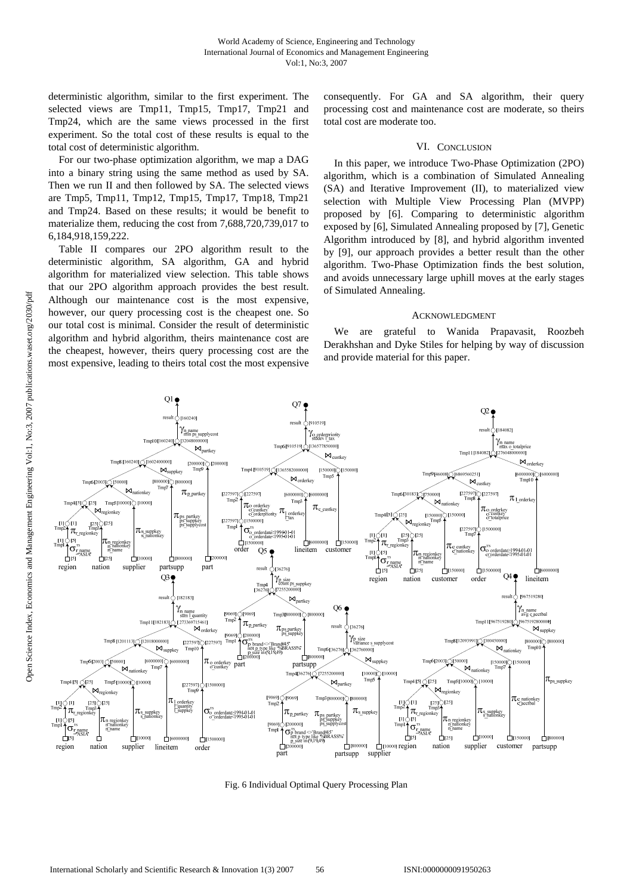deterministic algorithm, similar to the first experiment. The selected views are Tmp11, Tmp15, Tmp17, Tmp21 and Tmp24, which are the same views processed in the first experiment. So the total cost of these results is equal to the total cost of deterministic algorithm.

For our two-phase optimization algorithm, we map a DAG into a binary string using the same method as used by SA. Then we run II and then followed by SA. The selected views are Tmp5, Tmp11, Tmp12, Tmp15, Tmp17, Tmp18, Tmp21 and Tmp24. Based on these results; it would be benefit to materialize them, reducing the cost from 7,688,720,739,017 to 6,184,918,159,222.

Table II compares our 2PO algorithm result to the deterministic algorithm, SA algorithm, GA and hybrid algorithm for materialized view selection. This table shows that our 2PO algorithm approach provides the best result. Although our maintenance cost is the most expensive, however, our query processing cost is the cheapest one. So our total cost is minimal. Consider the result of deterministic algorithm and hybrid algorithm, theirs maintenance cost are the cheapest, however, theirs query processing cost are the most expensive, leading to theirs total cost the most expensive consequently. For GA and SA algorithm, their query processing cost and maintenance cost are moderate, so theirs total cost are moderate too.

## VI. CONCLUSION

In this paper, we introduce Two-Phase Optimization (2PO) algorithm, which is a combination of Simulated Annealing (SA) and Iterative Improvement (II), to materialized view selection with Multiple View Processing Plan (MVPP) proposed by [6]. Comparing to deterministic algorithm exposed by [6], Simulated Annealing proposed by [7], Genetic Algorithm introduced by [8], and hybrid algorithm invented by [9], our approach provides a better result than the other algorithm. Two-Phase Optimization finds the best solution, and avoids unnecessary large uphill moves at the early stages of Simulated Annealing.

#### ACKNOWLEDGMENT

We are grateful to Wanida Prapavasit, Roozbeh Derakhshan and Dyke Stiles for helping by way of discussion and provide material for this paper.



Fig. 6 Individual Optimal Query Processing Plan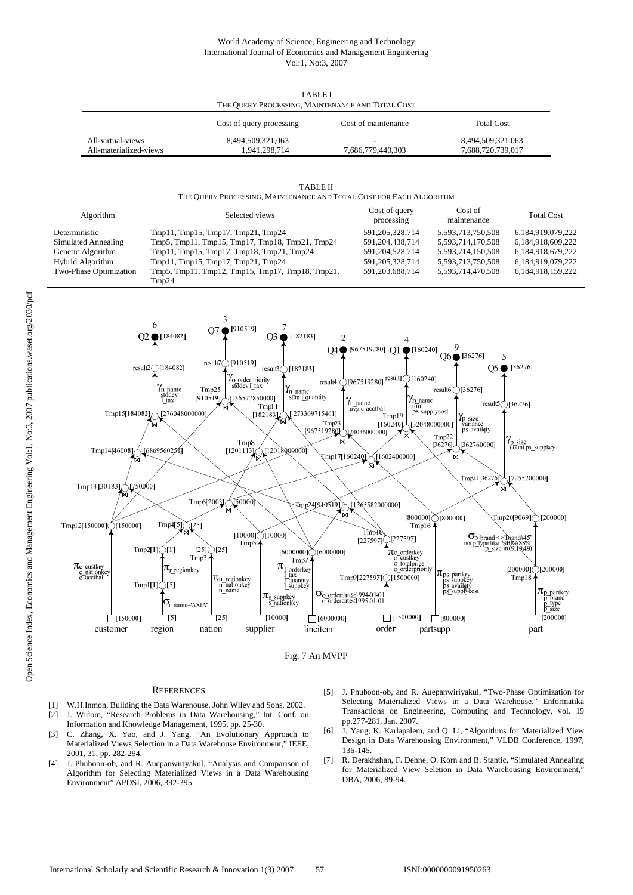## World Academy of Science, Engineering and Technology International Journal of Economics and Management Engineering Vol:1, No:3, 2007

|                        | THE OUGHT I ROCESSING, MAINTENANCE AND TOTAL COST |                     |                   |  |  |
|------------------------|---------------------------------------------------|---------------------|-------------------|--|--|
|                        | Cost of query processing                          | Cost of maintenance | <b>Total Cost</b> |  |  |
| All-virtual-views      | 8,494,509,321,063                                 |                     | 8,494,509,321,063 |  |  |
| All-materialized-views | 1.941.298.714                                     | 7.686.779.440.303   | 7.688.720.739.017 |  |  |

THE QUERY PROCESSING, MAINTENANCE AND TOTAL COST

| <b>TABLE II</b>                                                     |
|---------------------------------------------------------------------|
| THE OUERY PROCESSING, MAINTENANCE AND TOTAL COST FOR EACH ALGORITHM |

| Algorithm              | Selected views                                  | Cost of query<br>processing | Cost of<br>maintenance | <b>Total Cost</b> |
|------------------------|-------------------------------------------------|-----------------------------|------------------------|-------------------|
| Deterministic          | Tmp11, Tmp15, Tmp17, Tmp21, Tmp24               | 591, 205, 328, 714          | 5,593,713,750,508      | 6,184,919,079,222 |
| Simulated Annealing    | Tmp5, Tmp11, Tmp15, Tmp17, Tmp18, Tmp21, Tmp24  | 591, 204, 438, 714          | 5,593,714,170,508      | 6,184,918,609,222 |
| Genetic Algorithm      | Tmp11, Tmp15, Tmp17, Tmp18, Tmp21, Tmp24        | 591,204,528,714             | 5,593,714,150,508      | 6,184,918,679,222 |
| Hybrid Algorithm       | Tmp11, Tmp15, Tmp17, Tmp21, Tmp24               | 591, 205, 328, 714          | 5,593,713,750,508      | 6.184.919.079.222 |
| Two-Phase Optimization | Tmp5, Tmp11, Tmp12, Tmp15, Tmp17, Tmp18, Tmp21, | 591,203,688,714             | 5,593,714,470,508      | 6,184,918,159,222 |
|                        | $T$ mp24                                        |                             |                        |                   |





#### **REFERENCES**

- [1] W.H.Inmon, Building the Data Warehouse, John Wiley and Sons, 2002. [2] J. Widom, "Research Problems in Data Warehousing," Int. Conf. on Information and Knowledge Management, 1995, pp. 25-30.
- [3] C. Zhang, X. Yao, and J. Yang, "An Evolutionary Approach to Materialized Views Selection in a Data Warehouse Environment," IEEE, 2001, 31, pp. 282-294.
- [4] J. Phuboon-ob, and R. Auepanwiriyakul, "Analysis and Comparison of Algorithm for Selecting Materialized Views in a Data Warehousing Environment" APDSI, 2006, 392-395.
- [5] J. Phuboon-ob, and R. Auepanwiriyakul, "Two-Phase Optimization for Selecting Materialized Views in a Data Warehouse," Enformatika Transactions on Engineering, Computing and Technology, vol. 19 pp.277-281, Jan. 2007.
- [6] J. Yang, K. Karlapalem, and Q. Li, "Algorithms for Materialized View Design in Data Warehousing Environment," VLDB Conference, 1997, 136-145.
- [7] R. Derakhshan, F. Dehne, O. Korn and B. Stantic, "Simulated Annealing for Materialized View Seletion in Data Warehousing Environment, DBA, 2006, 89-94.